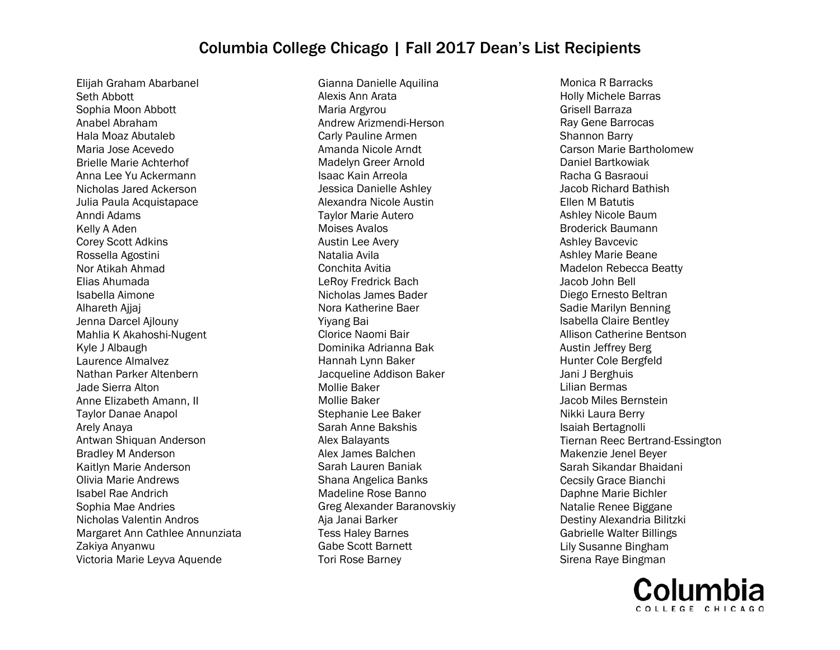Elijah Graham Abarbanel Seth Abbott Sophia Moon Abbott Anabel Abraham Hala Moaz Abutaleb Maria Jose Acevedo Brielle Marie Achterhof Anna Lee Yu Ackermann Nicholas Jared Ackerson Julia Paula Acquistapace Anndi Adams Kelly A Aden Corey Scott Adkins Rossella Agostini Nor Atikah Ahmad Elias Ahumada Isabella Aimone Alhareth Ajjaj Jenna Darcel Ajlouny Mahlia K Akahoshi-Nugent Kyle J Albaugh Laurence Almalvez Nathan Parker Altenbern Jade Sierra Alton Anne Elizabeth Amann, II Taylor Danae Anapol Arely Anaya Antwan Shiquan Anderson Bradley M Anderson Kaitlyn Marie Anderson Olivia Marie Andrews Isabel Rae Andrich Sophia Mae Andries Nicholas Valentin Andros Margaret Ann Cathlee Annunziata Zakiya Anyanwu Victoria Marie Leyva Aquende

Gianna Danielle Aquilina Alexis Ann Arata Maria Argyrou Andrew Arizmendi-Herson Carly Pauline Armen Amanda Nicole Arndt Madelyn Greer Arnold Isaac Kain Arreola Jessica Danielle Ashley Alexandra Nicole Austin Taylor Marie Autero Moises Avalos Austin Lee Avery Natalia Avila Conchita Avitia LeRoy Fredrick Bach Nicholas James Bader Nora Katherine Baer Yiyang Bai Clorice Naomi Bair Dominika Adrianna Bak Hannah Lynn Baker Jacqueline Addison Baker Mollie Baker Mollie Baker Stephanie Lee Baker Sarah Anne Bakshis Alex Balayants Alex James Balchen Sarah Lauren Baniak Shana Angelica Banks Madeline Rose Banno Greg Alexander Baranovskiy Aja Janai Barker Tess Haley Barnes Gabe Scott Barnett Tori Rose Barney

Monica R Barracks Holly Michele Barras Grisell Barraza Ray Gene Barrocas Shannon Barry Carson Marie Bartholomew Daniel Bartkowiak Racha G Basraoui Jacob Richard Bathish Ellen M Batutis Ashley Nicole Baum Broderick Baumann Ashley Bavcevic Ashley Marie Beane Madelon Rebecca Beatty Jacob John Bell Diego Ernesto Beltran Sadie Marilyn Benning Isabella Claire Bentley Allison Catherine Bentson Austin Jeffrey Berg Hunter Cole Bergfeld Jani J Berghuis Lilian Bermas Jacob Miles Bernstein Nikki Laura Berry Isaiah Bertagnolli Tiernan Reec Bertrand-Essington Makenzie Jenel Beyer Sarah Sikandar Bhaidani Cecsily Grace Bianchi Daphne Marie Bichler Natalie Renee Biggane Destiny Alexandria Bilitzki Gabrielle Walter Billings Lily Susanne Bingham Sirena Raye Bingman

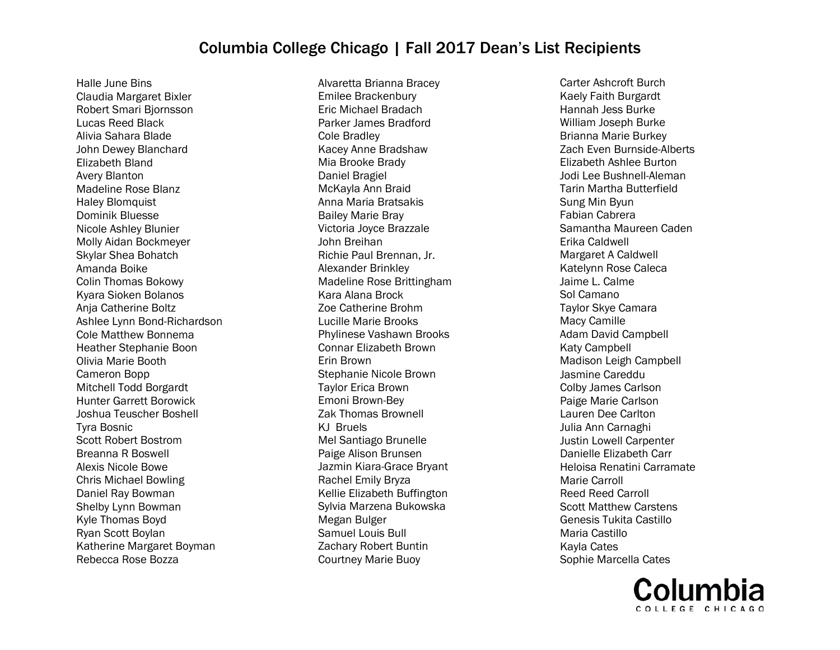Halle June Bins Claudia Margaret Bixler Robert Smari Bjornsson Lucas Reed Black Alivia Sahara Blade John Dewey Blanchard Elizabeth Bland Avery Blanton Madeline Rose Blanz Haley Blomquist Dominik Bluesse Nicole Ashley Blunier Molly Aidan Bockmeyer Skylar Shea Bohatch Amanda Boike Colin Thomas Bokowy Kyara Sioken Bolanos Anja Catherine Boltz Ashlee Lynn Bond-Richardson Cole Matthew Bonnema Heather Stephanie Boon Olivia Marie Booth Cameron Bopp Mitchell Todd Borgardt Hunter Garrett Borowick Joshua Teuscher Boshell Tyra Bosnic Scott Robert Bostrom Breanna R Boswell Alexis Nicole Bowe Chris Michael Bowling Daniel Ray Bowman Shelby Lynn Bowman Kyle Thomas Boyd Ryan Scott Boylan Katherine Margaret Boyman Rebecca Rose Bozza

Alvaretta Brianna Bracey Emilee Brackenbury Eric Michael Bradach Parker James Bradford Cole Bradley Kacey Anne Bradshaw Mia Brooke Brady Daniel Bragiel McKayla Ann Braid Anna Maria Bratsakis Bailey Marie Bray Victoria Joyce Brazzale John Breihan Richie Paul Brennan, Jr. Alexander Brinkley Madeline Rose Brittingham Kara Alana Brock Zoe Catherine Brohm Lucille Marie Brooks Phylinese Vashawn Brooks Connar Elizabeth Brown Erin Brown Stephanie Nicole Brown Taylor Erica Brown Emoni Brown-Bey Zak Thomas Brownell KJ Bruels Mel Santiago Brunelle Paige Alison Brunsen Jazmin Kiara-Grace Bryant Rachel Emily Bryza Kellie Elizabeth Buffington Sylvia Marzena Bukowska Megan Bulger Samuel Louis Bull Zachary Robert Buntin Courtney Marie Buoy

Carter Ashcroft Burch Kaely Faith Burgardt Hannah Jess Burke William Joseph Burke Brianna Marie Burkey Zach Even Burnside-Alberts Elizabeth Ashlee Burton Jodi Lee Bushnell-Aleman Tarin Martha Butterfield Sung Min Byun Fabian Cabrera Samantha Maureen Caden Erika Caldwell Margaret A Caldwell Katelynn Rose Caleca Jaime L. Calme Sol Camano Taylor Skye Camara Macy Camille Adam David Campbell Katy Campbell Madison Leigh Campbell Jasmine Careddu Colby James Carlson Paige Marie Carlson Lauren Dee Carlton Julia Ann Carnaghi Justin Lowell Carpenter Danielle Elizabeth Carr Heloisa Renatini Carramate Marie Carroll Reed Reed Carroll Scott Matthew Carstens Genesis Tukita Castillo Maria Castillo Kayla Cates Sophie Marcella Cates

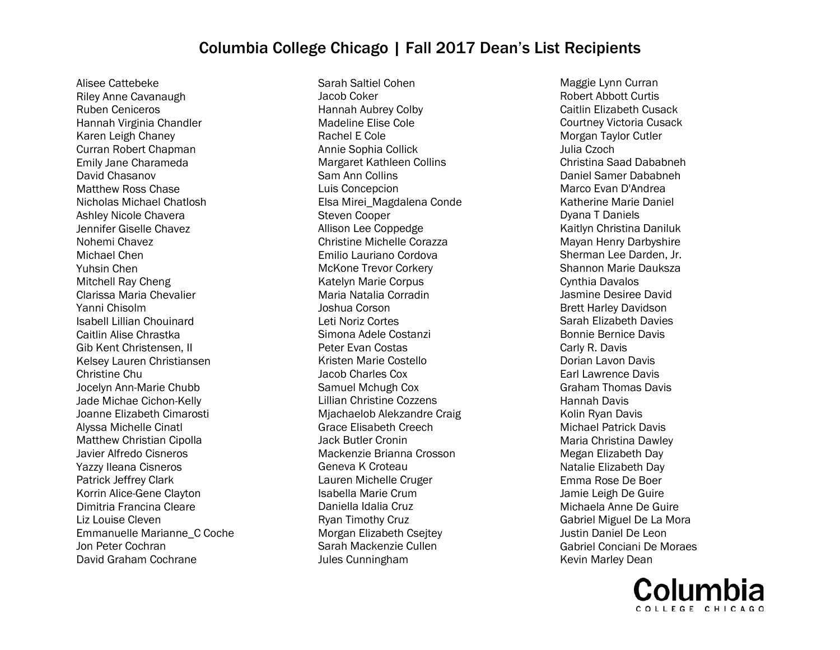Alisee Cattebeke Riley Anne Cavanaugh Ruben Ceniceros Hannah Virginia Chandler Karen Leigh Chaney Curran Robert Chapman Emily Jane Charameda David Chasanov Matthew Ross Chase Nicholas Michael Chatlosh Ashley Nicole Chavera Jennifer Giselle Chavez Nohemi Chavez Michael Chen Yuhsin Chen Mitchell Ray Cheng Clarissa Maria Chevalier Yanni Chisolm Isabell Lillian Chouinard Caitlin Alise Chrastka Gib Kent Christensen, II Kelsey Lauren Christiansen Christine Chu Jocelyn Ann-Marie Chubb Jade Michae Cichon-Kelly Joanne Elizabeth Cimarosti Alyssa Michelle Cinatl Matthew Christian Cipolla Javier Alfredo Cisneros Yazzy Ileana Cisneros Patrick Jeffrey Clark Korrin Alice-Gene Clayton Dimitria Francina Cleare Liz Louise Cleven Emmanuelle Marianne\_C Coche Jon Peter Cochran David Graham Cochrane

Sarah Saltiel Cohen Jacob Coker Hannah Aubrey Colby Madeline Elise Cole Rachel E Cole Annie Sophia Collick Margaret Kathleen Collins Sam Ann Collins Luis Concepcion Elsa Mirei\_Magdalena Conde Steven Cooper Allison Lee Coppedge Christine Michelle Corazza Emilio Lauriano Cordova McKone Trevor Corkery Katelyn Marie Corpus Maria Natalia Corradin Joshua Corson Leti Noriz Cortes Simona Adele Costanzi Peter Evan Costas Kristen Marie Costello Jacob Charles Cox Samuel Mchugh Cox Lillian Christine Cozzens Mjachaelob Alekzandre Craig Grace Elisabeth Creech Jack Butler Cronin Mackenzie Brianna Crosson Geneva K Croteau Lauren Michelle Cruger Isabella Marie Crum Daniella Idalia Cruz Ryan Timothy Cruz Morgan Elizabeth Csejtey Sarah Mackenzie Cullen Jules Cunningham

Maggie Lynn Curran Robert Abbott Curtis Caitlin Elizabeth Cusack Courtney Victoria Cusack Morgan Taylor Cutler Julia Czoch Christina Saad Dababneh Daniel Samer Dababneh Marco Evan D'Andrea Katherine Marie Daniel Dyana T Daniels Kaitlyn Christina Daniluk Mayan Henry Darbyshire Sherman Lee Darden, Jr. Shannon Marie Dauksza Cynthia Davalos Jasmine Desiree David Brett Harley Davidson Sarah Elizabeth Davies Bonnie Bernice Davis Carly R. Davis Dorian Lavon Davis Earl Lawrence Davis Graham Thomas Davis Hannah Davis Kolin Ryan Davis Michael Patrick Davis Maria Christina Dawley Megan Elizabeth Day Natalie Elizabeth Day Emma Rose De Boer Jamie Leigh De Guire Michaela Anne De Guire Gabriel Miguel De La Mora Justin Daniel De Leon Gabriel Conciani De Moraes Kevin Marley Dean

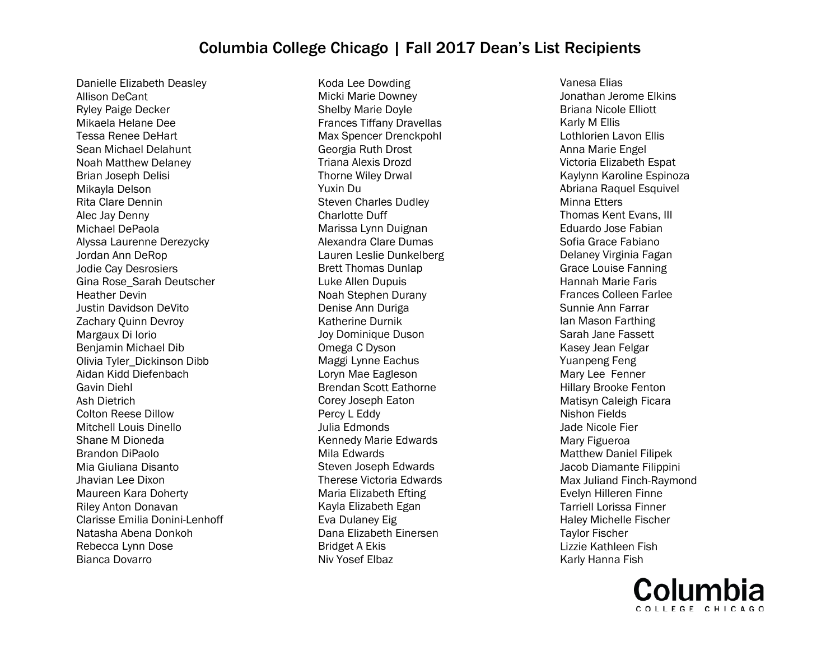Danielle Elizabeth Deasley Allison DeCant Ryley Paige Decker Mikaela Helane Dee Tessa Renee DeHart Sean Michael Delahunt Noah Matthew Delaney Brian Joseph Delisi Mikayla Delson Rita Clare Dennin Alec Jay Denny Michael DePaola Alyssa Laurenne Derezycky Jordan Ann DeRop Jodie Cay Desrosiers Gina Rose\_Sarah Deutscher Heather Devin Justin Davidson DeVito Zachary Quinn Devroy Margaux Di Iorio Benjamin Michael Dib Olivia Tyler\_Dickinson Dibb Aidan Kidd Diefenbach Gavin Diehl Ash Dietrich Colton Reese Dillow Mitchell Louis Dinello Shane M Dioneda Brandon DiPaolo Mia Giuliana Disanto Jhavian Lee Dixon Maureen Kara Doherty Riley Anton Donavan Clarisse Emilia Donini-Lenhoff Natasha Abena Donkoh Rebecca Lynn Dose Bianca Dovarro

Koda Lee Dowding Micki Marie Downey Shelby Marie Doyle Frances Tiffany Dravellas Max Spencer Drenckpohl Georgia Ruth Drost Triana Alexis Drozd Thorne Wiley Drwal Yuxin Du Steven Charles Dudley Charlotte Duff Marissa Lynn Duignan Alexandra Clare Dumas Lauren Leslie Dunkelberg Brett Thomas Dunlap Luke Allen Dupuis Noah Stephen Durany Denise Ann Duriga Katherine Durnik Joy Dominique Duson Omega C Dyson Maggi Lynne Eachus Loryn Mae Eagleson Brendan Scott Eathorne Corey Joseph Eaton Percy L Eddy Julia Edmonds Kennedy Marie Edwards Mila Edwards Steven Joseph Edwards Therese Victoria Edwards Maria Elizabeth Efting Kayla Elizabeth Egan Eva Dulaney Eig Dana Elizabeth Einersen Bridget A Ekis Niv Yosef Elbaz

Vanesa Elias Jonathan Jerome Elkins Briana Nicole Elliott Karly M Ellis Lothlorien Lavon Ellis Anna Marie Engel Victoria Elizabeth Espat Kaylynn Karoline Espinoza Abriana Raquel Esquivel Minna Etters Thomas Kent Evans, III Eduardo Jose Fabian Sofia Grace Fabiano Delaney Virginia Fagan Grace Louise Fanning Hannah Marie Faris Frances Colleen Farlee Sunnie Ann Farrar Ian Mason Farthing Sarah Jane Fassett Kasey Jean Felgar Yuanpeng Feng Mary Lee Fenner Hillary Brooke Fenton Matisyn Caleigh Ficara Nishon Fields Jade Nicole Fier Mary Figueroa Matthew Daniel Filipek Jacob Diamante Filippini Max Juliand Finch-Raymond Evelyn Hilleren Finne Tarriell Lorissa Finner Haley Michelle Fischer Taylor Fischer Lizzie Kathleen Fish Karly Hanna Fish

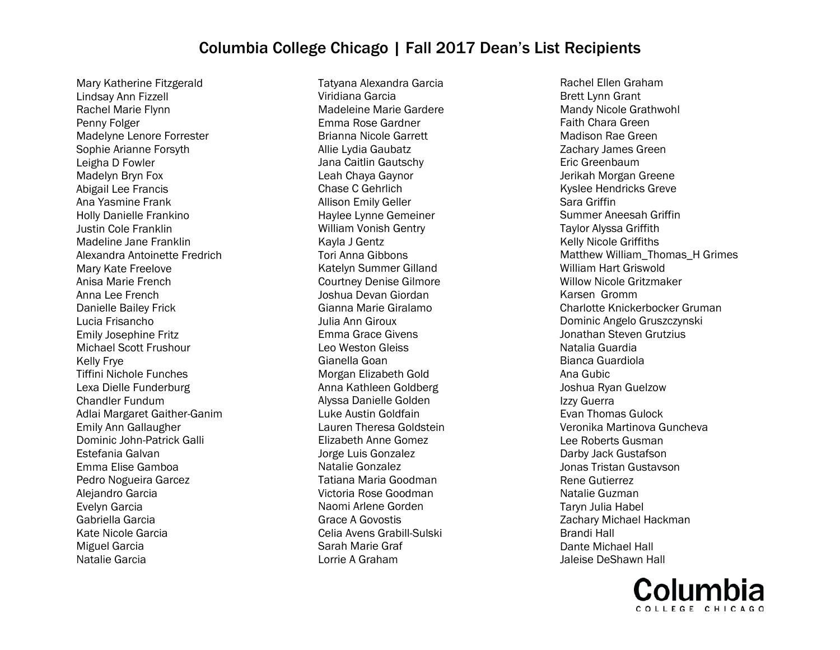Mary Katherine Fitzgerald Lindsay Ann Fizzell Rachel Marie Flynn Penny Folger Madelyne Lenore Forrester Sophie Arianne Forsyth Leigha D Fowler Madelyn Bryn Fox Abigail Lee Francis Ana Yasmine Frank Holly Danielle Frankino Justin Cole Franklin Madeline Jane Franklin Alexandra Antoinette Fredrich Mary Kate Freelove Anisa Marie French Anna Lee French Danielle Bailey Frick Lucia Frisancho Emily Josephine Fritz Michael Scott Frushour Kelly Frye Tiffini Nichole Funches Lexa Dielle Funderburg Chandler Fundum Adlai Margaret Gaither-Ganim Emily Ann Gallaugher Dominic John-Patrick Galli Estefania Galvan Emma Elise Gamboa Pedro Nogueira Garcez Alejandro Garcia Evelyn Garcia Gabriella Garcia Kate Nicole Garcia Miguel Garcia Natalie Garcia

Tatyana Alexandra Garcia Viridiana Garcia Madeleine Marie Gardere Emma Rose Gardner Brianna Nicole Garrett Allie Lydia Gaubatz Jana Caitlin Gautschy Leah Chaya Gaynor Chase C Gehrlich Allison Emily Geller Haylee Lynne Gemeiner William Vonish Gentry Kayla J Gentz Tori Anna Gibbons Katelyn Summer Gilland Courtney Denise Gilmore Joshua Devan Giordan Gianna Marie Giralamo Julia Ann Giroux Emma Grace Givens Leo Weston Gleiss Gianella Goan Morgan Elizabeth Gold Anna Kathleen Goldberg Alyssa Danielle Golden Luke Austin Goldfain Lauren Theresa Goldstein Elizabeth Anne Gomez Jorge Luis Gonzalez Natalie Gonzalez Tatiana Maria Goodman Victoria Rose Goodman Naomi Arlene Gorden Grace A Govostis Celia Avens Grabill-Sulski Sarah Marie Graf Lorrie A Graham

Rachel Ellen Graham Brett Lynn Grant Mandy Nicole Grathwohl Faith Chara Green Madison Rae Green Zachary James Green Eric Greenbaum Jerikah Morgan Greene Kyslee Hendricks Greve Sara Griffin Summer Aneesah Griffin Taylor Alyssa Griffith Kelly Nicole Griffiths Matthew William\_Thomas\_H Grimes William Hart Griswold Willow Nicole Gritzmaker Karsen Gromm Charlotte Knickerbocker Gruman Dominic Angelo Gruszczynski Jonathan Steven Grutzius Natalia Guardia Bianca Guardiola Ana Gubic Joshua Ryan Guelzow Izzy Guerra Evan Thomas Gulock Veronika Martinova Guncheva Lee Roberts Gusman Darby Jack Gustafson Jonas Tristan Gustavson Rene Gutierrez Natalie Guzman Taryn Julia Habel Zachary Michael Hackman Brandi Hall Dante Michael Hall Jaleise DeShawn Hall

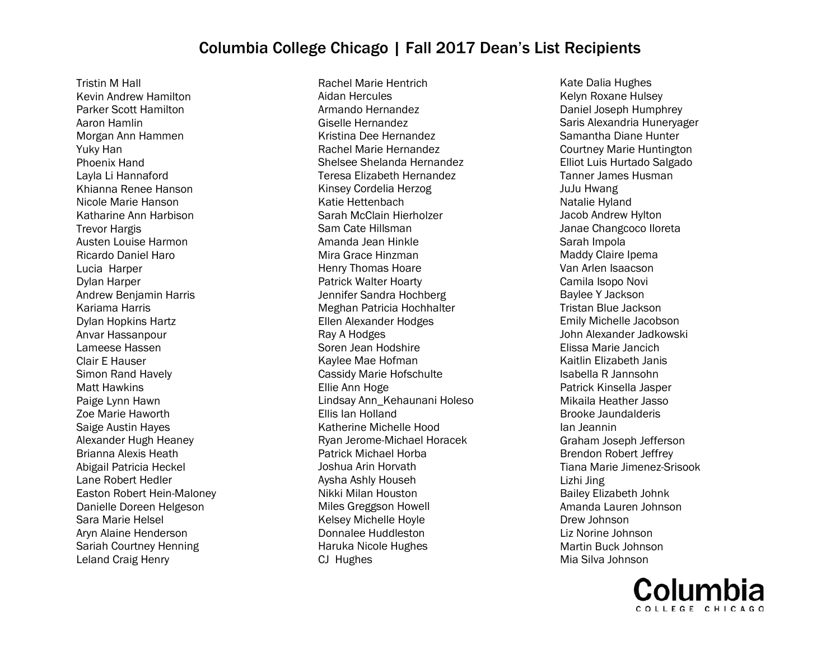Tristin M Hall Kevin Andrew Hamilton Parker Scott Hamilton Aaron Hamlin Morgan Ann Hammen Yuky Han Phoenix Hand Layla Li Hannaford Khianna Renee Hanson Nicole Marie Hanson Katharine Ann Harbison Trevor Hargis Austen Louise Harmon Ricardo Daniel Haro Lucia Harper Dylan Harper Andrew Benjamin Harris Kariama Harris Dylan Hopkins Hartz Anvar Hassanpour Lameese Hassen Clair E Hauser Simon Rand Havely Matt Hawkins Paige Lynn Hawn Zoe Marie Haworth Saige Austin Hayes Alexander Hugh Heaney Brianna Alexis Heath Abigail Patricia Heckel Lane Robert Hedler Easton Robert Hein-Maloney Danielle Doreen Helgeson Sara Marie Helsel Aryn Alaine Henderson Sariah Courtney Henning Leland Craig Henry

Rachel Marie Hentrich Aidan Hercules Armando Hernandez Giselle Hernandez Kristina Dee Hernandez Rachel Marie Hernandez Shelsee Shelanda Hernandez Teresa Elizabeth Hernandez Kinsey Cordelia Herzog Katie Hettenbach Sarah McClain Hierholzer Sam Cate Hillsman Amanda Jean Hinkle Mira Grace Hinzman Henry Thomas Hoare Patrick Walter Hoarty Jennifer Sandra Hochberg Meghan Patricia Hochhalter Ellen Alexander Hodges Ray A Hodges Soren Jean Hodshire Kaylee Mae Hofman Cassidy Marie Hofschulte Ellie Ann Hoge Lindsay Ann\_Kehaunani Holeso Ellis Ian Holland Katherine Michelle Hood Ryan Jerome-Michael Horacek Patrick Michael Horba Joshua Arin Horvath Aysha Ashly Househ Nikki Milan Houston Miles Greggson Howell Kelsey Michelle Hoyle Donnalee Huddleston Haruka Nicole Hughes CJ Hughes

Kate Dalia Hughes Kelyn Roxane Hulsey Daniel Joseph Humphrey Saris Alexandria Huneryager Samantha Diane Hunter Courtney Marie Huntington Elliot Luis Hurtado Salgado Tanner James Husman JuJu Hwang Natalie Hyland Jacob Andrew Hylton Janae Changcoco Iloreta Sarah Impola Maddy Claire Ipema Van Arlen Isaacson Camila Isopo Novi Baylee Y Jackson Tristan Blue Jackson Emily Michelle Jacobson John Alexander Jadkowski Elissa Marie Jancich Kaitlin Elizabeth Janis Isabella R Jannsohn Patrick Kinsella Jasper Mikaila Heather Jasso Brooke Jaundalderis Ian Jeannin Graham Joseph Jefferson Brendon Robert Jeffrey Tiana Marie Jimenez-Srisook Lizhi Jing Bailey Elizabeth Johnk Amanda Lauren Johnson Drew Johnson Liz Norine Johnson Martin Buck Johnson Mia Silva Johnson

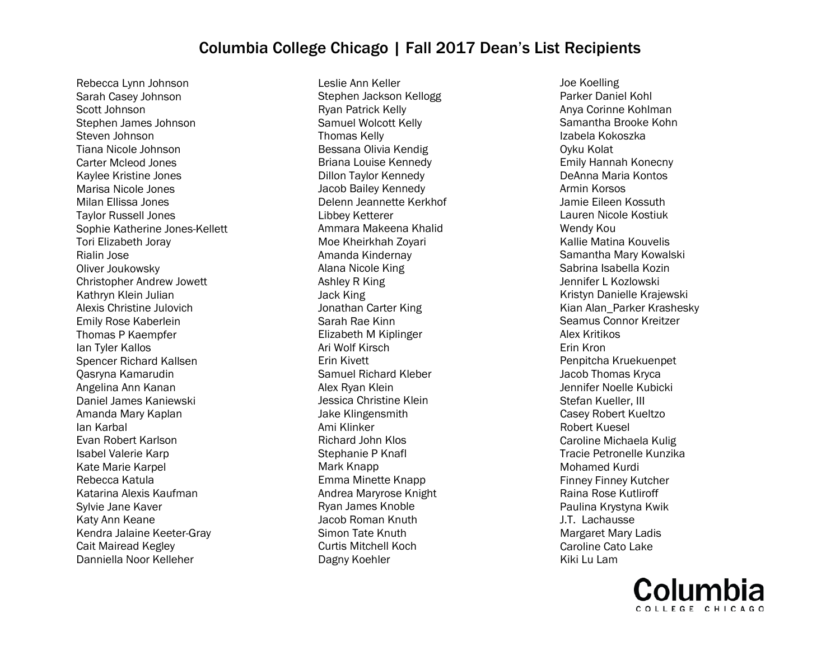Rebecca Lynn Johnson Sarah Casey Johnson Scott Johnson Stephen James Johnson Steven Johnson Tiana Nicole Johnson Carter Mcleod Jones Kaylee Kristine Jones Marisa Nicole Jones Milan Ellissa Jones Taylor Russell Jones Sophie Katherine Jones-Kellett Tori Elizabeth Joray Rialin Jose Oliver Joukowsky Christopher Andrew Jowett Kathryn Klein Julian Alexis Christine Julovich Emily Rose Kaberlein Thomas P Kaempfer Ian Tyler Kallos Spencer Richard Kallsen Qasryna Kamarudin Angelina Ann Kanan Daniel James Kaniewski Amanda Mary Kaplan Ian Karbal Evan Robert Karlson Isabel Valerie Karp Kate Marie Karpel Rebecca Katula Katarina Alexis Kaufman Sylvie Jane Kaver Katy Ann Keane Kendra Jalaine Keeter-Gray Cait Mairead Kegley Danniella Noor Kelleher

Leslie Ann Keller Stephen Jackson Kellogg Ryan Patrick Kelly Samuel Wolcott Kelly Thomas Kelly Bessana Olivia Kendig Briana Louise Kennedy Dillon Taylor Kennedy Jacob Bailey Kennedy Delenn Jeannette Kerkhof Libbey Ketterer Ammara Makeena Khalid Moe Kheirkhah Zoyari Amanda Kindernay Alana Nicole King Ashley R King Jack King Jonathan Carter King Sarah Rae Kinn Elizabeth M Kiplinger Ari Wolf Kirsch Erin Kivett Samuel Richard Kleber Alex Ryan Klein Jessica Christine Klein Jake Klingensmith Ami Klinker Richard John Klos Stephanie P Knafl Mark Knapp Emma Minette Knapp Andrea Maryrose Knight Ryan James Knoble Jacob Roman Knuth Simon Tate Knuth Curtis Mitchell Koch Dagny Koehler

Joe Koelling Parker Daniel Kohl Anya Corinne Kohlman Samantha Brooke Kohn Izabela Kokoszka Oyku Kolat Emily Hannah Konecny DeAnna Maria Kontos Armin Korsos Jamie Eileen Kossuth Lauren Nicole Kostiuk Wendy Kou Kallie Matina Kouvelis Samantha Mary Kowalski Sabrina Isabella Kozin Jennifer L Kozlowski Kristyn Danielle Krajewski Kian Alan\_Parker Krashesky Seamus Connor Kreitzer Alex Kritikos Erin Kron Penpitcha Kruekuenpet Jacob Thomas Kryca Jennifer Noelle Kubicki Stefan Kueller, III Casey Robert Kueltzo Robert Kuesel Caroline Michaela Kulig Tracie Petronelle Kunzika Mohamed Kurdi Finney Finney Kutcher Raina Rose Kutliroff Paulina Krystyna Kwik J.T. Lachausse Margaret Mary Ladis Caroline Cato Lake Kiki Lu Lam

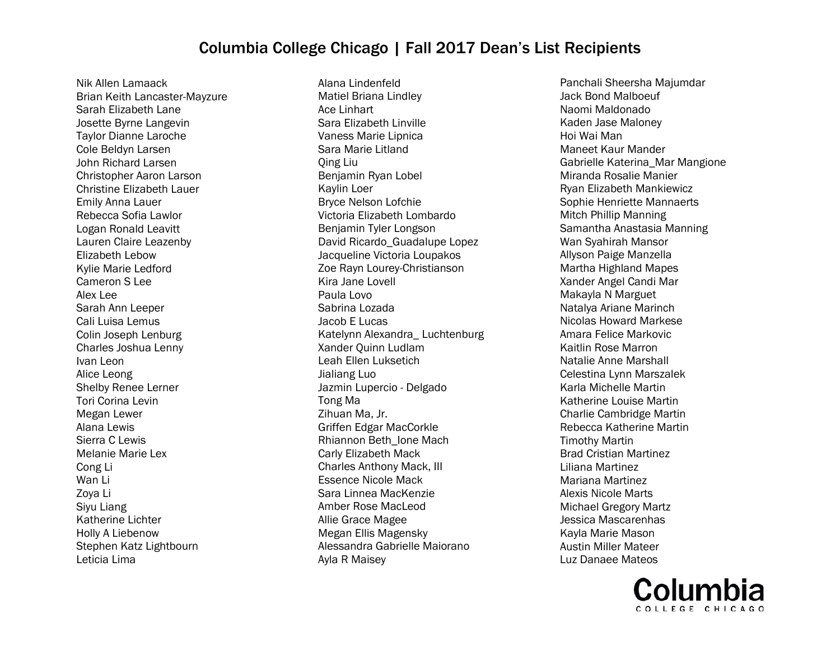Nik Allen Lamaack Brian Keith Lancaster-Mayzure Sarah Elizabeth Lane Josette Byrne Langevin Taylor Dianne Laroche Cole Beldyn Larsen John Richard Larsen Christopher Aaron Larson Christine Elizabeth Lauer Emily Anna Lauer Rebecca Sofia Lawlor Logan Ronald Leavitt Lauren Claire Leazenby Elizabeth Lebow Kylie Marie Ledford Cameron S Lee Alex Lee Sarah Ann Leeper Cali Luisa Lemus Colin Joseph Lenburg Charles Joshua Lenny Ivan Leon Alice Leong Shelby Renee Lerner Tori Corina Levin Megan Lewer Alana Lewis Sierra C Lewis Melanie Marie Lex Cong Li Wan Li Zoya Li Siyu Liang Katherine Lichter Holly A Liebenow Stephen Katz Lightbourn Leticia Lima

Alana Lindenfeld Matiel Briana Lindley Ace Linhart Sara Elizabeth Linville Vaness Marie Lipnica Sara Marie Litland Qing Liu Benjamin Ryan Lobel Kaylin Loer Bryce Nelson Lofchie Victoria Elizabeth Lombardo Benjamin Tyler Longson David Ricardo\_Guadalupe Lopez Jacqueline Victoria Loupakos Zoe Rayn Lourey-Christianson Kira Jane Lovell Paula Lovo Sabrina Lozada Jacob E Lucas Katelynn Alexandra\_ Luchtenburg Xander Quinn Ludlam Leah Ellen Luksetich Jialiang Luo Jazmin Lupercio - Delgado Tong Ma Zihuan Ma, Jr. Griffen Edgar MacCorkle Rhiannon Beth\_Ione Mach Carly Elizabeth Mack Charles Anthony Mack, III Essence Nicole Mack Sara Linnea MacKenzie Amber Rose MacLeod Allie Grace Magee Megan Ellis Magensky Alessandra Gabrielle Maiorano Ayla R Maisey

Panchali Sheersha Majumdar Jack Bond Malboeuf Naomi Maldonado Kaden Jase Maloney Hoi Wai Man Maneet Kaur Mander Gabrielle Katerina\_Mar Mangione Miranda Rosalie Manier Ryan Elizabeth Mankiewicz Sophie Henriette Mannaerts Mitch Phillip Manning Samantha Anastasia Manning Wan Syahirah Mansor Allyson Paige Manzella Martha Highland Mapes Xander Angel Candi Mar Makayla N Marguet Natalya Ariane Marinch Nicolas Howard Markese Amara Felice Markovic Kaitlin Rose Marron Natalie Anne Marshall Celestina Lynn Marszalek Karla Michelle Martin Katherine Louise Martin Charlie Cambridge Martin Rebecca Katherine Martin Timothy Martin Brad Cristian Martinez Liliana Martinez Mariana Martinez Alexis Nicole Marts Michael Gregory Martz Jessica Mascarenhas Kayla Marie Mason Austin Miller Mateer Luz Danaee Mateos

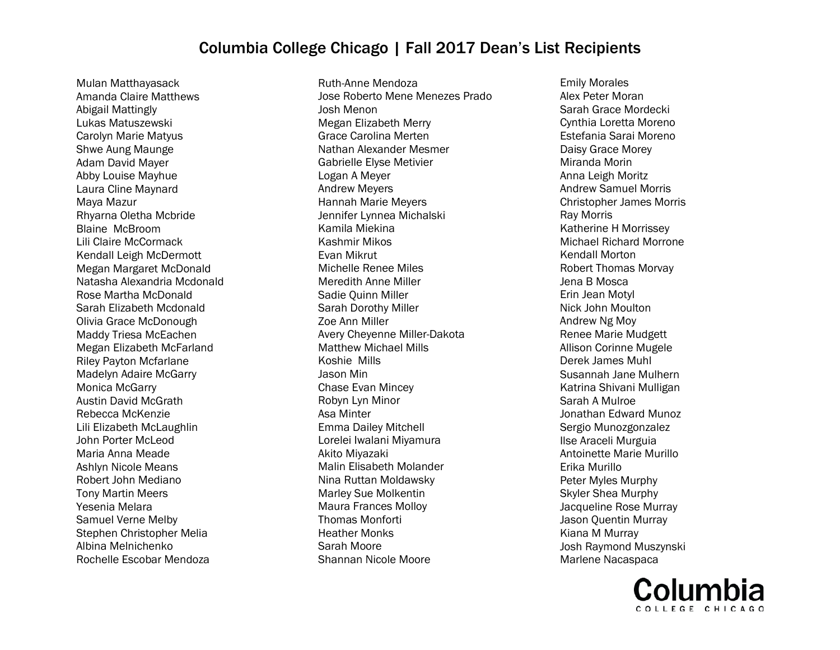Mulan Matthayasack Amanda Claire Matthews Abigail Mattingly Lukas Matuszewski Carolyn Marie Matyus Shwe Aung Maunge Adam David Mayer Abby Louise Mayhue Laura Cline Maynard Maya Mazur Rhyarna Oletha Mcbride Blaine McBroom Lili Claire McCormack Kendall Leigh McDermott Megan Margaret McDonald Natasha Alexandria Mcdonald Rose Martha McDonald Sarah Elizabeth Mcdonald Olivia Grace McDonough Maddy Triesa McEachen Megan Elizabeth McFarland Riley Payton Mcfarlane Madelyn Adaire McGarry Monica McGarry Austin David McGrath Rebecca McKenzie Lili Elizabeth McLaughlin John Porter McLeod Maria Anna Meade Ashlyn Nicole Means Robert John Mediano Tony Martin Meers Yesenia Melara Samuel Verne Melby Stephen Christopher Melia Albina Melnichenko Rochelle Escobar Mendoza

Ruth-Anne Mendoza Jose Roberto Mene Menezes Prado Josh Menon Megan Elizabeth Merry Grace Carolina Merten Nathan Alexander Mesmer Gabrielle Elyse Metivier Logan A Meyer Andrew Meyers Hannah Marie Meyers Jennifer Lynnea Michalski Kamila Miekina Kashmir Mikos Evan Mikrut Michelle Renee Miles Meredith Anne Miller Sadie Quinn Miller Sarah Dorothy Miller Zoe Ann Miller Avery Cheyenne Miller-Dakota Matthew Michael Mills Koshie Mills Jason Min Chase Evan Mincey Robyn Lyn Minor Asa Minter Emma Dailey Mitchell Lorelei Iwalani Miyamura Akito Miyazaki Malin Elisabeth Molander Nina Ruttan Moldawsky Marley Sue Molkentin Maura Frances Molloy Thomas Monforti Heather Monks Sarah Moore Shannan Nicole Moore

Emily Morales Alex Peter Moran Sarah Grace Mordecki Cynthia Loretta Moreno Estefania Sarai Moreno Daisy Grace Morey Miranda Morin Anna Leigh Moritz Andrew Samuel Morris Christopher James Morris Ray Morris Katherine H Morrissey Michael Richard Morrone Kendall Morton Robert Thomas Morvay Jena B Mosca Erin Jean Motyl Nick John Moulton Andrew Ng Moy Renee Marie Mudgett Allison Corinne Mugele Derek James Muhl Susannah Jane Mulhern Katrina Shivani Mulligan Sarah A Mulroe Jonathan Edward Munoz Sergio Munozgonzalez Ilse Araceli Murguia Antoinette Marie Murillo Erika Murillo Peter Myles Murphy Skyler Shea Murphy Jacqueline Rose Murray Jason Quentin Murray Kiana M Murray Josh Raymond Muszynski Marlene Nacaspaca

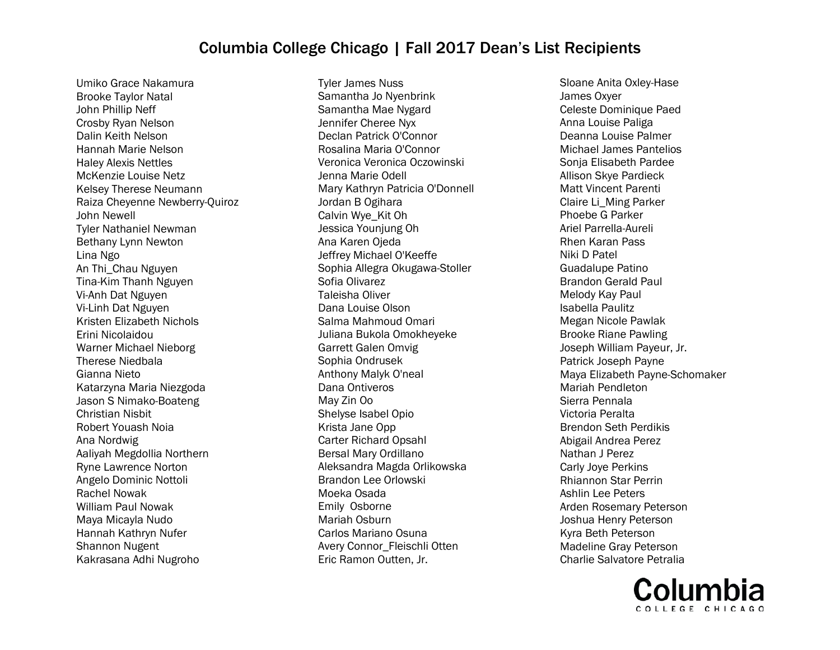Umiko Grace Nakamura Brooke Taylor Natal John Phillip Neff Crosby Ryan Nelson Dalin Keith Nelson Hannah Marie Nelson Haley Alexis Nettles McKenzie Louise Netz Kelsey Therese Neumann Raiza Cheyenne Newberry-Quiroz John Newell Tyler Nathaniel Newman Bethany Lynn Newton Lina Ngo An Thi\_Chau Nguyen Tina-Kim Thanh Nguyen Vi-Anh Dat Nguyen Vi-Linh Dat Nguyen Kristen Elizabeth Nichols Erini Nicolaidou Warner Michael Nieborg Therese Niedbala Gianna Nieto Katarzyna Maria Niezgoda Jason S Nimako-Boateng Christian Nisbit Robert Youash Noia Ana Nordwig Aaliyah Megdollia Northern Ryne Lawrence Norton Angelo Dominic Nottoli Rachel Nowak William Paul Nowak Maya Micayla Nudo Hannah Kathryn Nufer Shannon Nugent Kakrasana Adhi Nugroho

Tyler James Nuss Samantha Jo Nyenbrink Samantha Mae Nygard Jennifer Cheree Nyx Declan Patrick O'Connor Rosalina Maria O'Connor Veronica Veronica Oczowinski Jenna Marie Odell Mary Kathryn Patricia O'Donnell Jordan B Ogihara Calvin Wye\_Kit Oh Jessica Younjung Oh Ana Karen Ojeda Jeffrey Michael O'Keeffe Sophia Allegra Okugawa-Stoller Sofia Olivarez Taleisha Oliver Dana Louise Olson Salma Mahmoud Omari Juliana Bukola Omokheyeke Garrett Galen Omvig Sophia Ondrusek Anthony Malyk O'neal Dana Ontiveros May Zin Oo Shelyse Isabel Opio Krista Jane Opp Carter Richard Opsahl Bersal Mary Ordillano Aleksandra Magda Orlikowska Brandon Lee Orlowski Moeka Osada Emily Osborne Mariah Osburn Carlos Mariano Osuna Avery Connor\_Fleischli Otten Eric Ramon Outten, Jr.

Sloane Anita Oxley-Hase James Oxyer Celeste Dominique Paed Anna Louise Paliga Deanna Louise Palmer Michael James Pantelios Sonja Elisabeth Pardee Allison Skye Pardieck Matt Vincent Parenti Claire Li\_Ming Parker Phoebe G Parker Ariel Parrella-Aureli Rhen Karan Pass Niki D Patel Guadalupe Patino Brandon Gerald Paul Melody Kay Paul Isabella Paulitz Megan Nicole Pawlak Brooke Riane Pawling Joseph William Payeur, Jr. Patrick Joseph Payne Maya Elizabeth Payne-Schomaker Mariah Pendleton Sierra Pennala Victoria Peralta Brendon Seth Perdikis Abigail Andrea Perez Nathan J Perez Carly Joye Perkins Rhiannon Star Perrin Ashlin Lee Peters Arden Rosemary Peterson Joshua Henry Peterson Kyra Beth Peterson Madeline Gray Peterson Charlie Salvatore Petralia

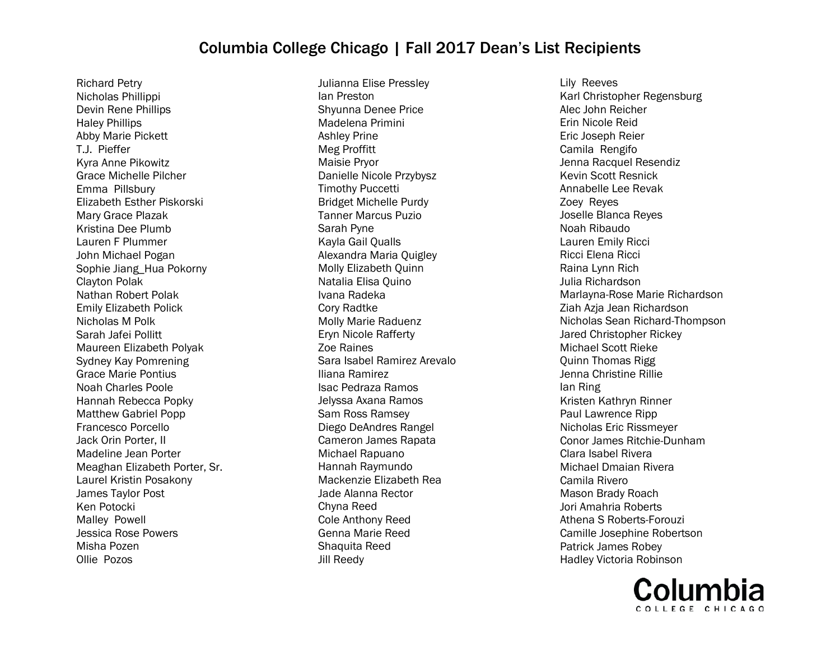Richard Petry Nicholas Phillippi Devin Rene Phillips Haley Phillips Abby Marie Pickett T.J. Pieffer Kyra Anne Pikowitz Grace Michelle Pilcher Emma Pillsbury Elizabeth Esther Piskorski Mary Grace Plazak Kristina Dee Plumb Lauren F Plummer John Michael Pogan Sophie Jiang\_Hua Pokorny Clayton Polak Nathan Robert Polak Emily Elizabeth Polick Nicholas M Polk Sarah Jafei Pollitt Maureen Elizabeth Polyak Sydney Kay Pomrening Grace Marie Pontius Noah Charles Poole Hannah Rebecca Popky Matthew Gabriel Popp Francesco Porcello Jack Orin Porter, II Madeline Jean Porter Meaghan Elizabeth Porter, Sr. Laurel Kristin Posakony James Taylor Post Ken Potocki Malley Powell Jessica Rose Powers Misha Pozen Ollie Pozos

Julianna Elise Pressley Ian Preston Shyunna Denee Price Madelena Primini Ashley Prine Meg Proffitt Maisie Pryor Danielle Nicole Przybysz Timothy Puccetti Bridget Michelle Purdy Tanner Marcus Puzio Sarah Pyne Kayla Gail Qualls Alexandra Maria Quigley Molly Elizabeth Quinn Natalia Elisa Quino Ivana Radeka Cory Radtke Molly Marie Raduenz Eryn Nicole Rafferty Zoe Raines Sara Isabel Ramirez Arevalo Iliana Ramirez Isac Pedraza Ramos Jelyssa Axana Ramos Sam Ross Ramsey Diego DeAndres Rangel Cameron James Rapata Michael Rapuano Hannah Raymundo Mackenzie Elizabeth Rea Jade Alanna Rector Chyna Reed Cole Anthony Reed Genna Marie Reed Shaquita Reed Jill Reedy

Lily Reeves Karl Christopher Regensburg Alec John Reicher Erin Nicole Reid Eric Joseph Reier Camila Rengifo Jenna Racquel Resendiz Kevin Scott Resnick Annabelle Lee Revak Zoey Reyes Joselle Blanca Reyes Noah Ribaudo Lauren Emily Ricci Ricci Elena Ricci Raina Lynn Rich Julia Richardson Marlayna-Rose Marie Richardson Ziah Azja Jean Richardson Nicholas Sean Richard-Thompson Jared Christopher Rickey Michael Scott Rieke Quinn Thomas Rigg Jenna Christine Rillie Ian Ring Kristen Kathryn Rinner Paul Lawrence Ripp Nicholas Eric Rissmeyer Conor James Ritchie-Dunham Clara Isabel Rivera Michael Dmaian Rivera Camila Rivero Mason Brady Roach Jori Amahria Roberts Athena S Roberts-Forouzi Camille Josephine Robertson Patrick James Robey Hadley Victoria Robinson

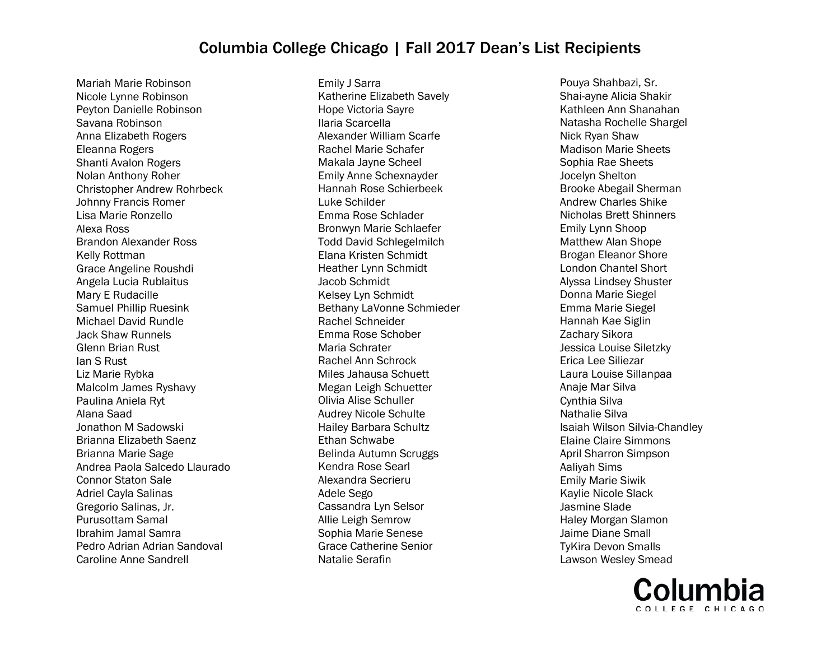Mariah Marie Robinson Nicole Lynne Robinson Peyton Danielle Robinson Savana Robinson Anna Elizabeth Rogers Eleanna Rogers Shanti Avalon Rogers Nolan Anthony Roher Christopher Andrew Rohrbeck Johnny Francis Romer Lisa Marie Ronzello Alexa Ross Brandon Alexander Ross Kelly Rottman Grace Angeline Roushdi Angela Lucia Rublaitus Mary E Rudacille Samuel Phillip Ruesink Michael David Rundle Jack Shaw Runnels Glenn Brian Rust Ian S Rust Liz Marie Rybka Malcolm James Ryshavy Paulina Aniela Ryt Alana Saad Jonathon M Sadowski Brianna Elizabeth Saenz Brianna Marie Sage Andrea Paola Salcedo Llaurado Connor Staton Sale Adriel Cayla Salinas Gregorio Salinas, Jr. Purusottam Samal Ibrahim Jamal Samra Pedro Adrian Adrian Sandoval Caroline Anne Sandrell

Emily J Sarra Katherine Elizabeth Savely Hope Victoria Sayre Ilaria Scarcella Alexander William Scarfe Rachel Marie Schafer Makala Jayne Scheel Emily Anne Schexnayder Hannah Rose Schierbeek Luke Schilder Emma Rose Schlader Bronwyn Marie Schlaefer Todd David Schlegelmilch Elana Kristen Schmidt Heather Lynn Schmidt Jacob Schmidt Kelsey Lyn Schmidt Bethany LaVonne Schmieder Rachel Schneider Emma Rose Schober Maria Schrater Rachel Ann Schrock Miles Jahausa Schuett Megan Leigh Schuetter Olivia Alise Schuller Audrey Nicole Schulte Hailey Barbara Schultz Ethan Schwabe Belinda Autumn Scruggs Kendra Rose Searl Alexandra Secrieru Adele Sego Cassandra Lyn Selsor Allie Leigh Semrow Sophia Marie Senese Grace Catherine Senior Natalie Serafin

Pouya Shahbazi, Sr. Shai-ayne Alicia Shakir Kathleen Ann Shanahan Natasha Rochelle Shargel Nick Ryan Shaw Madison Marie Sheets Sophia Rae Sheets Jocelyn Shelton Brooke Abegail Sherman Andrew Charles Shike Nicholas Brett Shinners Emily Lynn Shoop Matthew Alan Shope Brogan Eleanor Shore London Chantel Short Alyssa Lindsey Shuster Donna Marie Siegel Emma Marie Siegel Hannah Kae Siglin Zachary Sikora Jessica Louise Siletzky Erica Lee Siliezar Laura Louise Sillanpaa Anaje Mar Silva Cynthia Silva Nathalie Silva Isaiah Wilson Silvia-Chandley Elaine Claire Simmons April Sharron Simpson Aaliyah Sims Emily Marie Siwik Kaylie Nicole Slack Jasmine Slade Haley Morgan Slamon Jaime Diane Small TyKira Devon Smalls Lawson Wesley Smead

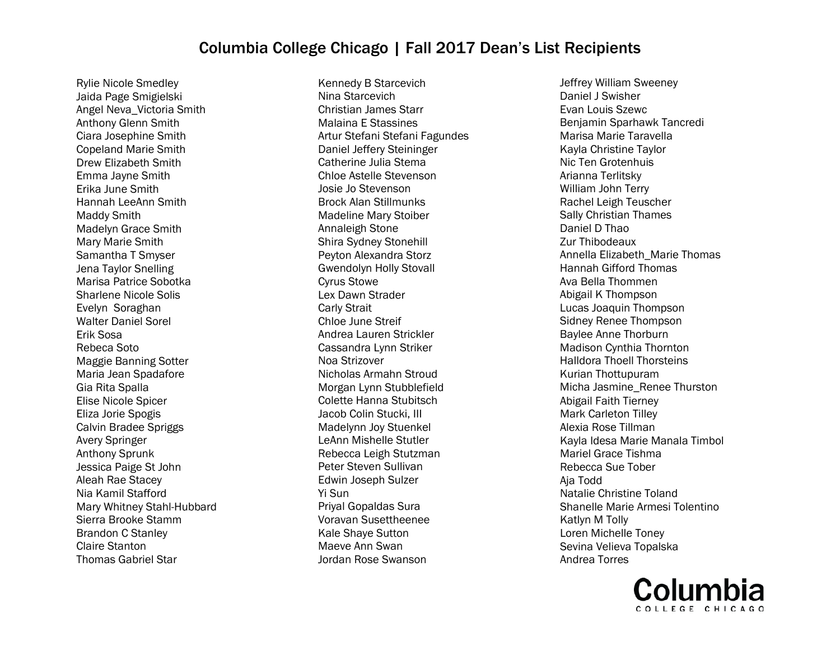Rylie Nicole Smedley Jaida Page Smigielski Angel Neva\_Victoria Smith Anthony Glenn Smith Ciara Josephine Smith Copeland Marie Smith Drew Elizabeth Smith Emma Jayne Smith Erika June Smith Hannah LeeAnn Smith Maddy Smith Madelyn Grace Smith Mary Marie Smith Samantha T Smyser Jena Taylor Snelling Marisa Patrice Sobotka Sharlene Nicole Solis Evelyn Soraghan Walter Daniel Sorel Erik Sosa Rebeca Soto Maggie Banning Sotter Maria Jean Spadafore Gia Rita Spalla Elise Nicole Spicer Eliza Jorie Spogis Calvin Bradee Spriggs Avery Springer Anthony Sprunk Jessica Paige St John Aleah Rae Stacey Nia Kamil Stafford Mary Whitney Stahl-Hubbard Sierra Brooke Stamm Brandon C Stanley Claire Stanton Thomas Gabriel Star

Kennedy B Starcevich Nina Starcevich Christian James Starr Malaina E Stassines Artur Stefani Stefani Fagundes Daniel Jeffery Steininger Catherine Julia Stema Chloe Astelle Stevenson Josie Jo Stevenson Brock Alan Stillmunks Madeline Mary Stoiber Annaleigh Stone Shira Sydney Stonehill Peyton Alexandra Storz Gwendolyn Holly Stovall Cyrus Stowe Lex Dawn Strader Carly Strait Chloe June Streif Andrea Lauren Strickler Cassandra Lynn Striker Noa Strizover Nicholas Armahn Stroud Morgan Lynn Stubblefield Colette Hanna Stubitsch Jacob Colin Stucki, III Madelynn Joy Stuenkel LeAnn Mishelle Stutler Rebecca Leigh Stutzman Peter Steven Sullivan Edwin Joseph Sulzer Yi Sun Priyal Gopaldas Sura Voravan Susettheenee Kale Shaye Sutton Maeve Ann Swan Jordan Rose Swanson

Jeffrey William Sweeney Daniel J Swisher Evan Louis Szewc Benjamin Sparhawk Tancredi Marisa Marie Taravella Kayla Christine Taylor Nic Ten Grotenhuis Arianna Terlitsky William John Terry Rachel Leigh Teuscher Sally Christian Thames Daniel D Thao Zur Thibodeaux Annella Elizabeth\_Marie Thomas Hannah Gifford Thomas Ava Bella Thommen Abigail K Thompson Lucas Joaquin Thompson Sidney Renee Thompson Baylee Anne Thorburn Madison Cynthia Thornton Halldora Thoell Thorsteins Kurian Thottupuram Micha Jasmine\_Renee Thurston Abigail Faith Tierney Mark Carleton Tilley Alexia Rose Tillman Kayla Idesa Marie Manala Timbol Mariel Grace Tishma Rebecca Sue Tober Aja Todd Natalie Christine Toland Shanelle Marie Armesi Tolentino Katlyn M Tolly Loren Michelle Toney Sevina Velieva Topalska Andrea Torres

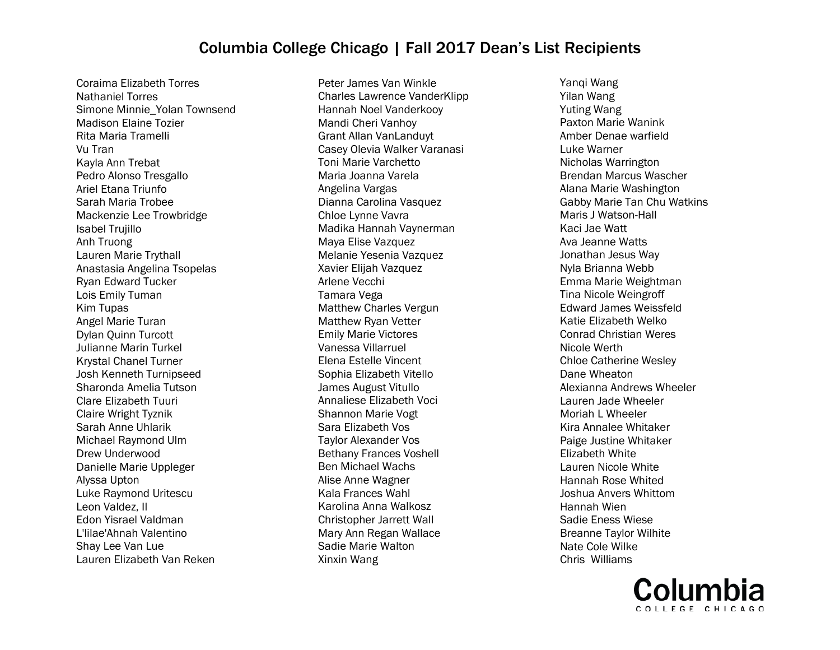Coraima Elizabeth Torres Nathaniel Torres Simone Minnie\_Yolan Townsend Madison Elaine Tozier Rita Maria Tramelli Vu Tran Kayla Ann Trebat Pedro Alonso Tresgallo Ariel Etana Triunfo Sarah Maria Trobee Mackenzie Lee Trowbridge Isabel Trujillo Anh Truong Lauren Marie Trythall Anastasia Angelina Tsopelas Ryan Edward Tucker Lois Emily Tuman Kim Tupas Angel Marie Turan Dylan Quinn Turcott Julianne Marin Turkel Krystal Chanel Turner Josh Kenneth Turnipseed Sharonda Amelia Tutson Clare Elizabeth Tuuri Claire Wright Tyznik Sarah Anne Uhlarik Michael Raymond Ulm Drew Underwood Danielle Marie Uppleger Alyssa Upton Luke Raymond Uritescu Leon Valdez, II Edon Yisrael Valdman L'lilae'Ahnah Valentino Shay Lee Van Lue Lauren Elizabeth Van Reken

Peter James Van Winkle Charles Lawrence VanderKlipp Hannah Noel Vanderkooy Mandi Cheri Vanhoy Grant Allan VanLanduyt Casey Olevia Walker Varanasi Toni Marie Varchetto Maria Joanna Varela Angelina Vargas Dianna Carolina Vasquez Chloe Lynne Vavra Madika Hannah Vaynerman Maya Elise Vazquez Melanie Yesenia Vazquez Xavier Elijah Vazquez Arlene Vecchi Tamara Vega Matthew Charles Vergun Matthew Ryan Vetter Emily Marie Victores Vanessa Villarruel Elena Estelle Vincent Sophia Elizabeth Vitello James August Vitullo Annaliese Elizabeth Voci Shannon Marie Vogt Sara Elizabeth Vos Taylor Alexander Vos Bethany Frances Voshell Ben Michael Wachs Alise Anne Wagner Kala Frances Wahl Karolina Anna Walkosz Christopher Jarrett Wall Mary Ann Regan Wallace Sadie Marie Walton Xinxin Wang

Yanqi Wang Yilan Wang Yuting Wang Paxton Marie Wanink Amber Denae warfield Luke Warner Nicholas Warrington Brendan Marcus Wascher Alana Marie Washington Gabby Marie Tan Chu Watkins Maris J Watson-Hall Kaci Jae Watt Ava Jeanne Watts Jonathan Jesus Way Nyla Brianna Webb Emma Marie Weightman Tina Nicole Weingroff Edward James Weissfeld Katie Elizabeth Welko Conrad Christian Weres Nicole Werth Chloe Catherine Wesley Dane Wheaton Alexianna Andrews Wheeler Lauren Jade Wheeler Moriah L Wheeler Kira Annalee Whitaker Paige Justine Whitaker Elizabeth White Lauren Nicole White Hannah Rose Whited Joshua Anvers Whittom Hannah Wien Sadie Eness Wiese Breanne Taylor Wilhite Nate Cole Wilke Chris Williams